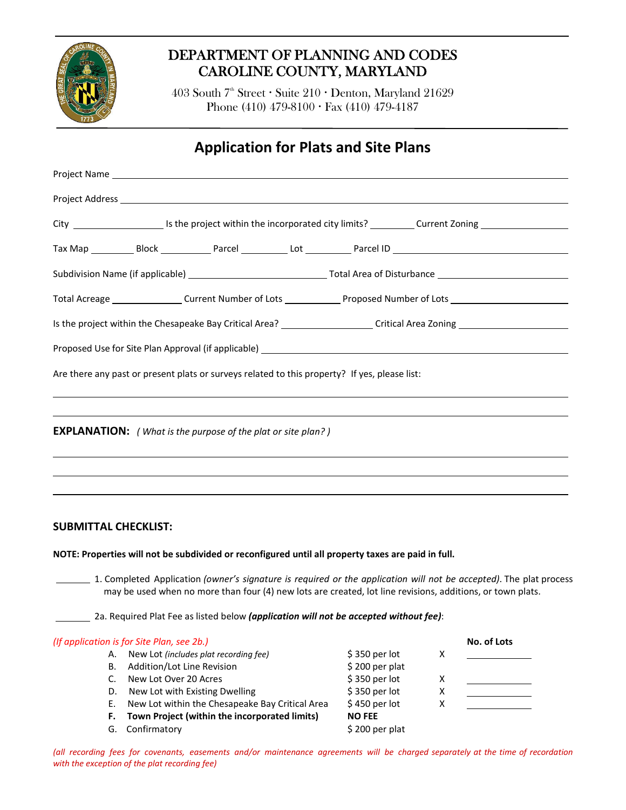

# DEPARTMENT OF PLANNING AND CODES CAROLINE COUNTY, MARYLAND

403 South 7<sup>th</sup> Street • Suite 210 • Denton, Maryland 21629 Phone (410) 479-8100 Fax (410) 479-4187

# **Application for Plats and Site Plans**

## **SUBMITTAL CHECKLIST:**

**NOTE: Properties will not be subdivided or reconfigured until all property taxes are paid in full.**

 1. Completed Application *(owner's signature is required or the application will not be accepted)*. The plat process may be used when no more than four (4) new lots are created, lot line revisions, additions, or town plats.

2a. Required Plat Fee as listed below *(application will not be accepted without fee)*:

| (If application is for Site Plan, see 2b.) | No. of Lots                                     |                 |   |  |
|--------------------------------------------|-------------------------------------------------|-----------------|---|--|
| А.                                         | New Lot (includes plat recording fee)           | $$350$ per lot  | X |  |
| В.                                         | Addition/Lot Line Revision                      | $$200$ per plat |   |  |
|                                            | New Lot Over 20 Acres                           | \$350 per lot   | X |  |
| D.                                         | New Lot with Existing Dwelling                  | \$350 per lot   | х |  |
| Е.                                         | New Lot within the Chesapeake Bay Critical Area | $$450$ per lot  | X |  |
| F.                                         | Town Project (within the incorporated limits)   | <b>NO FEE</b>   |   |  |
| G.                                         | Confirmatory                                    | $$200$ per plat |   |  |

(all recording fees for covenants, easements and/or maintenance agreements will be charged separately at the time of recordation *with the exception of the plat recording fee)*